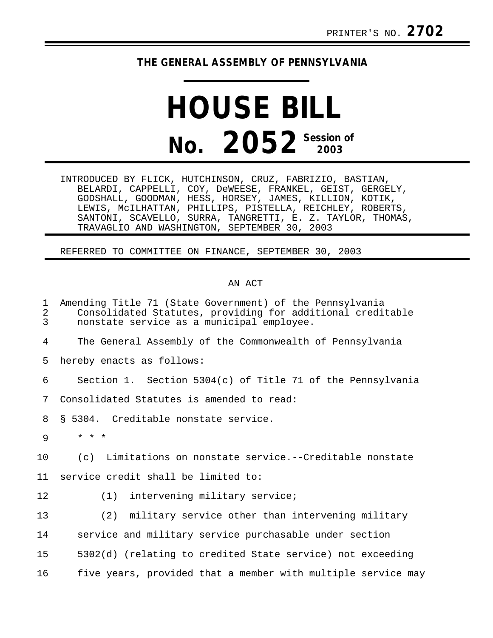## **THE GENERAL ASSEMBLY OF PENNSYLVANIA**

## **HOUSE BILL No. 2052 Session of 2003**

INTRODUCED BY FLICK, HUTCHINSON, CRUZ, FABRIZIO, BASTIAN, BELARDI, CAPPELLI, COY, DeWEESE, FRANKEL, GEIST, GERGELY, GODSHALL, GOODMAN, HESS, HORSEY, JAMES, KILLION, KOTIK, LEWIS, McILHATTAN, PHILLIPS, PISTELLA, REICHLEY, ROBERTS, SANTONI, SCAVELLO, SURRA, TANGRETTI, E. Z. TAYLOR, THOMAS, TRAVAGLIO AND WASHINGTON, SEPTEMBER 30, 2003

REFERRED TO COMMITTEE ON FINANCE, SEPTEMBER 30, 2003

## AN ACT

| $\mathbf{1}$<br>$\overline{a}$<br>$\overline{3}$ | Amending Title 71 (State Government) of the Pennsylvania<br>Consolidated Statutes, providing for additional creditable<br>nonstate service as a municipal employee. |
|--------------------------------------------------|---------------------------------------------------------------------------------------------------------------------------------------------------------------------|
| 4                                                | The General Assembly of the Commonwealth of Pennsylvania                                                                                                            |
| 5                                                | hereby enacts as follows:                                                                                                                                           |
| 6                                                | Section 1. Section $5304(c)$ of Title 71 of the Pennsylvania                                                                                                        |
| 7                                                | Consolidated Statutes is amended to read:                                                                                                                           |
| 8                                                | § 5304. Creditable nonstate service.                                                                                                                                |
| 9                                                | $* * *$                                                                                                                                                             |
| 10                                               | Limitations on nonstate service.--Creditable nonstate<br>(c)                                                                                                        |
| 11                                               | service credit shall be limited to:                                                                                                                                 |
| 12                                               | $(1)$ intervening military service;                                                                                                                                 |
| 13                                               | (2) military service other than intervening military                                                                                                                |
| 14                                               | service and military service purchasable under section                                                                                                              |
| 15                                               | 5302(d) (relating to credited State service) not exceeding                                                                                                          |
| 16                                               | five years, provided that a member with multiple service may                                                                                                        |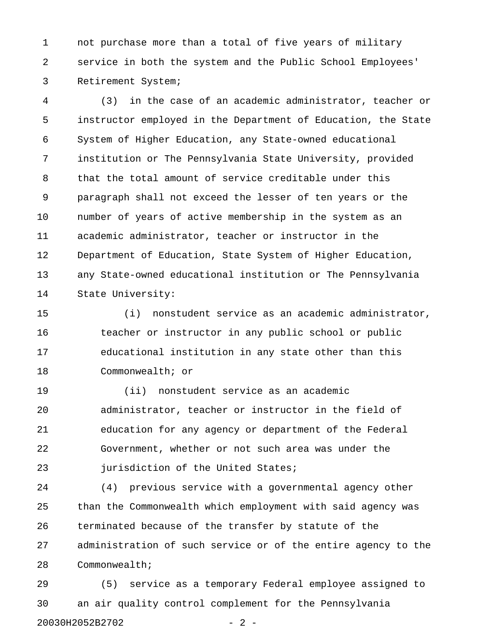1 not purchase more than a total of five years of military 2 service in both the system and the Public School Employees' 3 Retirement System;

4 (3) in the case of an academic administrator, teacher or 5 instructor employed in the Department of Education, the State 6 System of Higher Education, any State-owned educational 7 institution or The Pennsylvania State University, provided 8 that the total amount of service creditable under this 9 paragraph shall not exceed the lesser of ten years or the 10 number of years of active membership in the system as an 11 academic administrator, teacher or instructor in the 12 Department of Education, State System of Higher Education, 13 any State-owned educational institution or The Pennsylvania 14 State University:

15 (i) nonstudent service as an academic administrator, 16 teacher or instructor in any public school or public 17 educational institution in any state other than this 18 Commonwealth; or

19 (ii) nonstudent service as an academic 20 administrator, teacher or instructor in the field of 21 education for any agency or department of the Federal 22 Government, whether or not such area was under the 23 **jurisdiction of the United States;** 

24 (4) previous service with a governmental agency other 25 than the Commonwealth which employment with said agency was 26 terminated because of the transfer by statute of the 27 administration of such service or of the entire agency to the 28 Commonwealth;

29 (5) service as a temporary Federal employee assigned to 30 an air quality control complement for the Pennsylvania 20030H2052B2702 - 2 -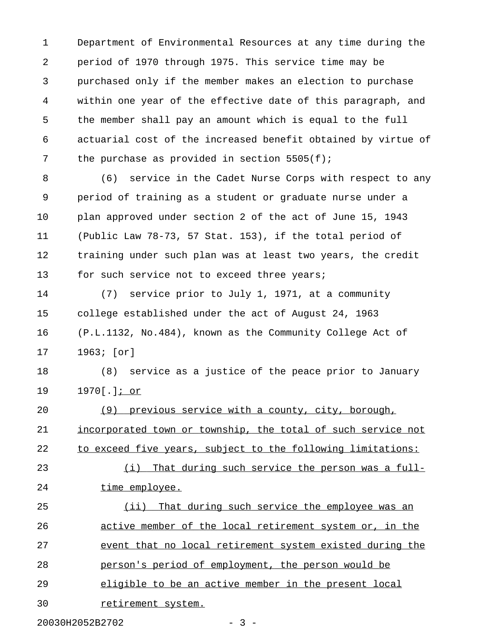1 Department of Environmental Resources at any time during the 2 period of 1970 through 1975. This service time may be 3 purchased only if the member makes an election to purchase 4 within one year of the effective date of this paragraph, and 5 the member shall pay an amount which is equal to the full 6 actuarial cost of the increased benefit obtained by virtue of 7 the purchase as provided in section 5505(f);

8 (6) service in the Cadet Nurse Corps with respect to any 9 period of training as a student or graduate nurse under a 10 plan approved under section 2 of the act of June 15, 1943 11 (Public Law 78-73, 57 Stat. 153), if the total period of 12 training under such plan was at least two years, the credit 13 for such service not to exceed three years;

14 (7) service prior to July 1, 1971, at a community 15 college established under the act of August 24, 1963 16 (P.L.1132, No.484), known as the Community College Act of 17 1963; [or]

18 (8) service as a justice of the peace prior to January 19 1970[.]; or \_\_\_\_

20 (9) previous service with a county, city, borough, 21 incorporated town or township, the total of such service not 22 to exceed five years, subject to the following limitations:

23 (i) That during such service the person was a full-24 time employee.

25 (ii) That during such service the employee was an 26 active member of the local retirement system or, in the 27 event that no local retirement system existed during the 28 person's period of employment, the person would be 29 eligible to be an active member in the present local 30 retirement system.

20030H2052B2702 - 3 -